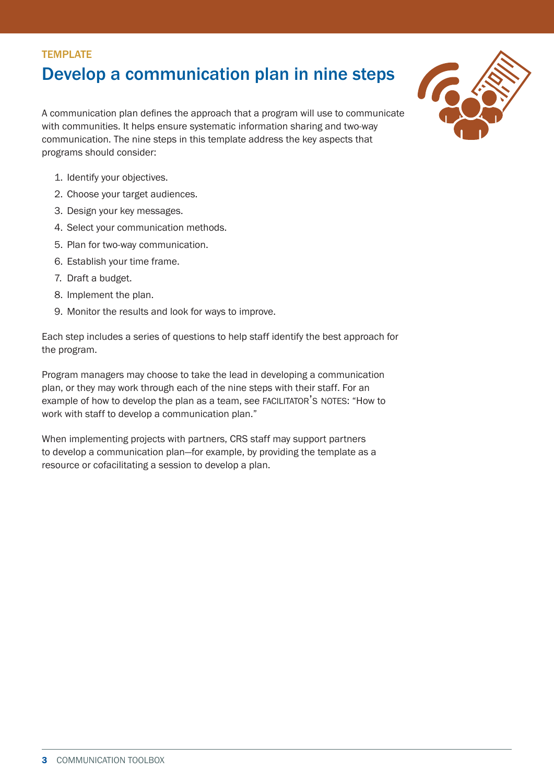# **TEMPLATE** Develop a communication plan in nine steps

A communication plan defines the approach that a program will use to communicate with communities. It helps ensure systematic information sharing and two-way communication. The nine steps in this template address the key aspects that programs should consider:

- 1. Identify your objectives.
- 2. Choose your target audiences.
- 3. Design your key messages.
- 4. Select your communication methods.
- 5. Plan for two-way communication.
- 6. Establish your time frame.
- 7. Draft a budget.
- 8. Implement the plan.
- 9. Monitor the results and look for ways to improve.

Each step includes a series of questions to help staff identify the best approach for the program.

Program managers may choose to take the lead in developing a communication plan, or they may work through each of the nine steps with their staff. For an example of how to develop the plan as a team, see FACILITATOR'S NOTES: "How to work with staff to develop a communication plan."

When implementing projects with partners, CRS staff may support partners to develop a communication plan—for example, by providing the template as a resource or cofacilitating a session to develop a plan.

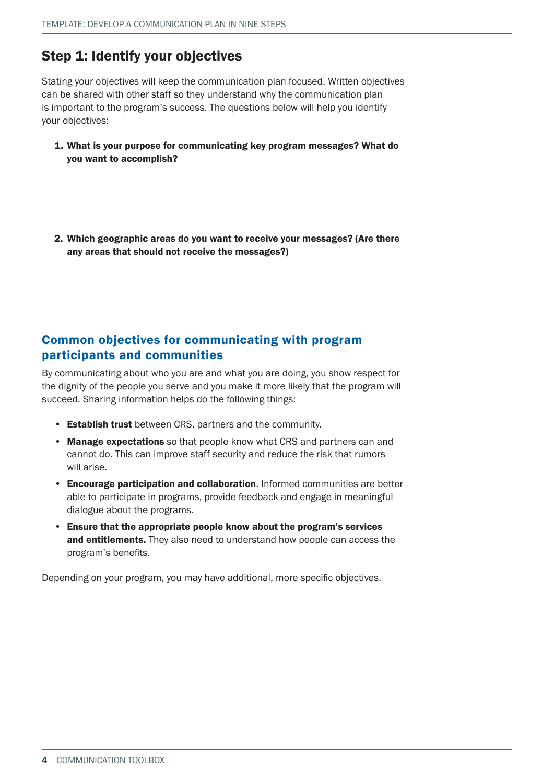# Step 1: Identify your objectives

Stating your objectives will keep the communication plan focused. Written objectives can be shared with other staff so they understand why the communication plan is important to the program's success. The questions below will help you identify your objectives:

- 1. What is your purpose for communicating key program messages? What do you want to accomplish?
- 2. Which geographic areas do you want to receive your messages? (Are there any areas that should not receive the messages?)

### Common objectives for communicating with program participants and communities

By communicating about who you are and what you are doing, you show respect for the dignity of the people you serve and you make it more likely that the program will succeed. Sharing information helps do the following things:

- Establish trust between CRS, partners and the community.
- Manage expectations so that people know what CRS and partners can and cannot do. This can improve staff security and reduce the risk that rumors will arise.
- Encourage participation and collaboration. Informed communities are better able to participate in programs, provide feedback and engage in meaningful dialogue about the programs.
- Ensure that the appropriate people know about the program's services and entitlements. They also need to understand how people can access the program's benefits.

Depending on your program, you may have additional, more specific objectives.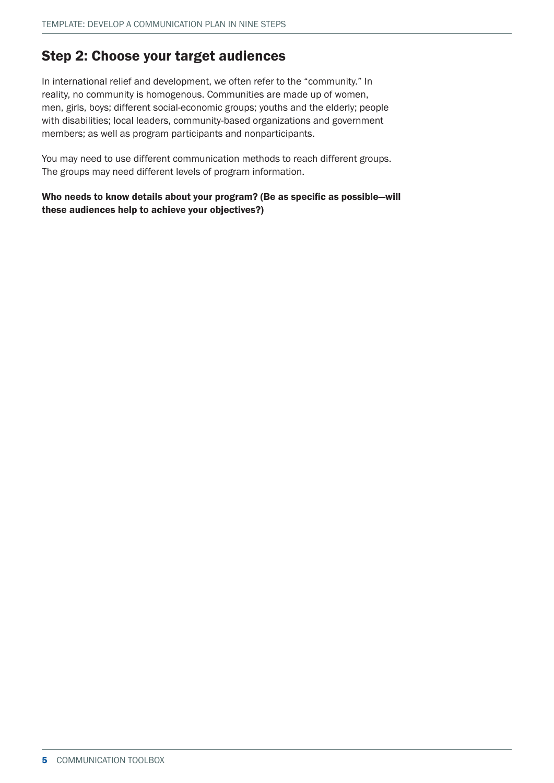## Step 2: Choose your target audiences

In international relief and development, we often refer to the "community." In reality, no community is homogenous. Communities are made up of women, men, girls, boys; different social-economic groups; youths and the elderly; people with disabilities; local leaders, community-based organizations and government members; as well as program participants and nonparticipants.

You may need to use different communication methods to reach different groups. The groups may need different levels of program information.

Who needs to know details about your program? (Be as specific as possible—will these audiences help to achieve your objectives?)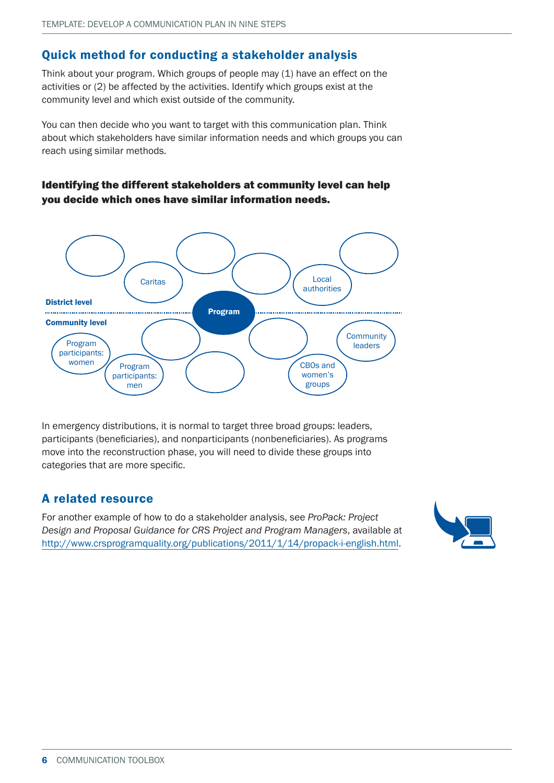## Quick method for conducting a stakeholder analysis

Think about your program. Which groups of people may (1) have an effect on the activities or (2) be affected by the activities. Identify which groups exist at the community level and which exist outside of the community.

You can then decide who you want to target with this communication plan. Think about which stakeholders have similar information needs and which groups you can reach using similar methods.

### Identifying the different stakeholders at community level can help you decide which ones have similar information needs.



In emergency distributions, it is normal to target three broad groups: leaders, participants (beneficiaries), and nonparticipants (nonbeneficiaries). As programs move into the reconstruction phase, you will need to divide these groups into categories that are more specific.

### A related resource

For another example of how to do a stakeholder analysis, see *ProPack: Project Design and Proposal Guidance for CRS Project and Program Managers*, available at <http://www.crsprogramquality.org/publications/2011/1/14/propack-i-english.html>.

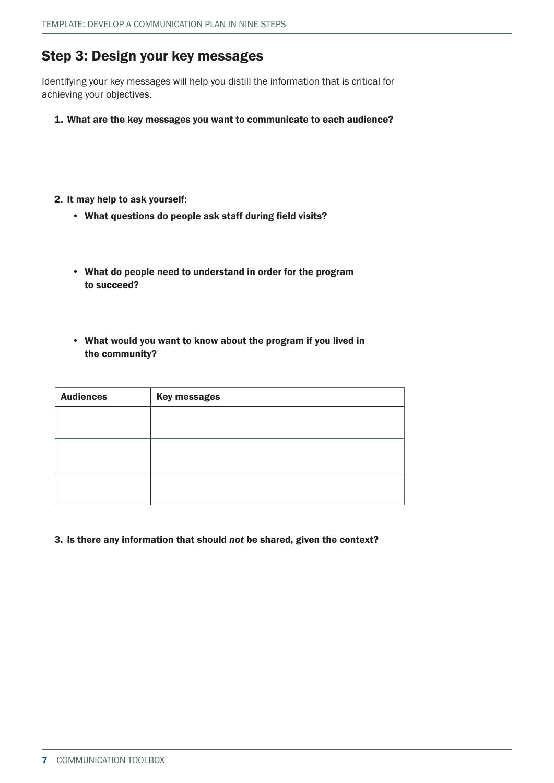## Step 3: Design your key messages

Identifying your key messages will help you distill the information that is critical for achieving your objectives.

- 1. What are the key messages you want to communicate to each audience?
- 2. It may help to ask yourself:
	- What questions do people ask staff during field visits?
	- What do people need to understand in order for the program to succeed?
	- What would you want to know about the program if you lived in the community?

| <b>Audiences</b> | <b>Key messages</b> |
|------------------|---------------------|
|                  |                     |
|                  |                     |
|                  |                     |
|                  |                     |
|                  |                     |
|                  |                     |

3. Is there any information that should *not* be shared, given the context?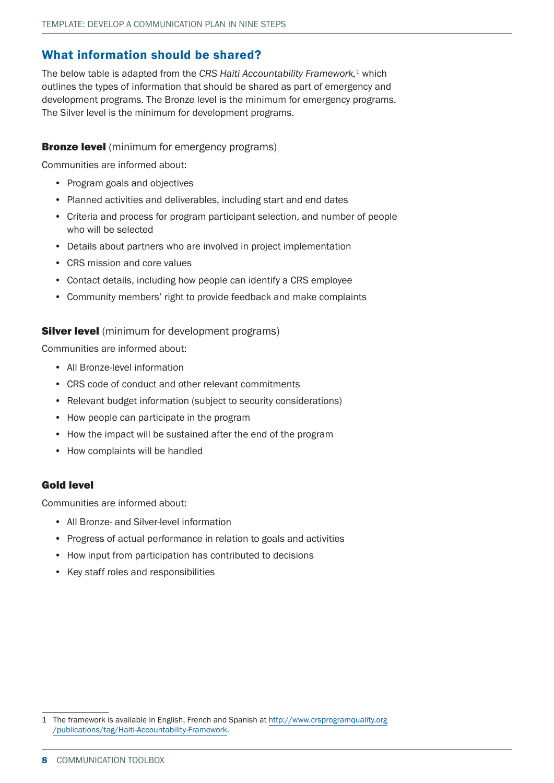### What information should be shared?

The below table is adapted from the *CRS Haiti Accountability Framework,*1 which outlines the types of information that should be shared as part of emergency and development programs. The Bronze level is the minimum for emergency programs. The Silver level is the minimum for development programs.

#### **Bronze level** (minimum for emergency programs)

Communities are informed about:

- Program goals and objectives
- Planned activities and deliverables, including start and end dates
- Criteria and process for program participant selection, and number of people who will be selected
- Details about partners who are involved in project implementation
- CRS mission and core values
- Contact details, including how people can identify a CRS employee
- Community members' right to provide feedback and make complaints

#### **Silver level** (minimum for development programs)

Communities are informed about:

- All Bronze-level information
- CRS code of conduct and other relevant commitments
- Relevant budget information (subject to security considerations)
- How people can participate in the program
- How the impact will be sustained after the end of the program
- How complaints will be handled

#### Gold level

Communities are informed about:

- All Bronze- and Silver-level information
- Progress of actual performance in relation to goals and activities
- How input from participation has contributed to decisions
- Key staff roles and responsibilities

<sup>1</sup> The framework is available in English, French and Spanish at [http://www.crsprogramquality.org](http://www.crsprogramquality.org%0A/publications/tag/Haiti-Accountability-Framework) [/publications/tag/Haiti-Accountability-Framework](http://www.crsprogramquality.org%0A/publications/tag/Haiti-Accountability-Framework).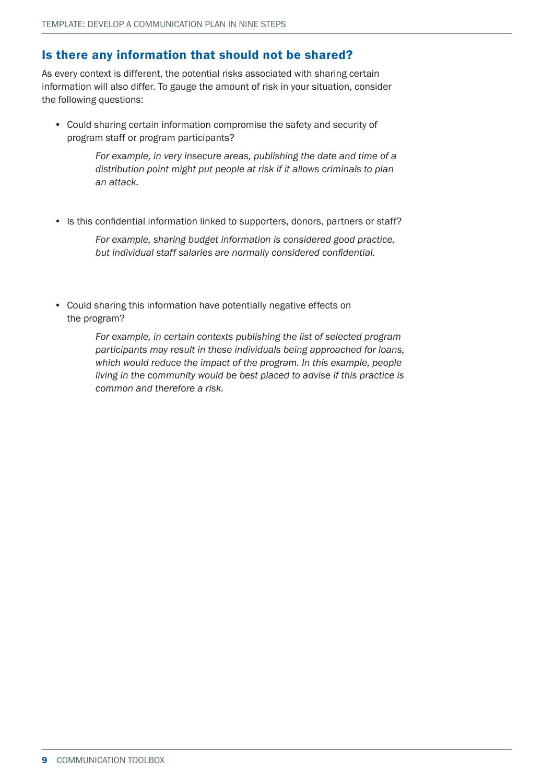## Is there any information that should not be shared?

As every context is different, the potential risks associated with sharing certain information will also differ. To gauge the amount of risk in your situation, consider the following questions:

• Could sharing certain information compromise the safety and security of program staff or program participants?

> *For example, in very insecure areas, publishing the date and time of a distribution point might put people at risk if it allows criminals to plan an attack.*

• Is this confidential information linked to supporters, donors, partners or staff?

*For example, sharing budget information is considered good practice, but individual staff salaries are normally considered confidential.*

• Could sharing this information have potentially negative effects on the program?

> *For example, in certain contexts publishing the list of selected program participants may result in these individuals being approached for loans, which would reduce the impact of the program. In this example, people living in the community would be best placed to advise if this practice is common and therefore a risk.*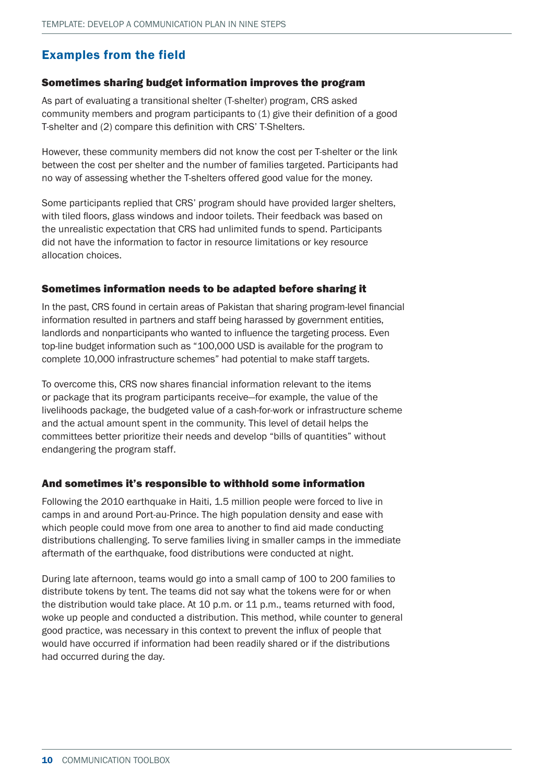## Examples from the field

#### Sometimes sharing budget information improves the program

As part of evaluating a transitional shelter (T-shelter) program, CRS asked community members and program participants to (1) give their definition of a good T-shelter and (2) compare this definition with CRS' T-Shelters.

However, these community members did not know the cost per T-shelter or the link between the cost per shelter and the number of families targeted. Participants had no way of assessing whether the T-shelters offered good value for the money.

Some participants replied that CRS' program should have provided larger shelters, with tiled floors, glass windows and indoor toilets. Their feedback was based on the unrealistic expectation that CRS had unlimited funds to spend. Participants did not have the information to factor in resource limitations or key resource allocation choices.

#### Sometimes information needs to be adapted before sharing it

In the past, CRS found in certain areas of Pakistan that sharing program-level financial information resulted in partners and staff being harassed by government entities, landlords and nonparticipants who wanted to influence the targeting process. Even top-line budget information such as "100,000 USD is available for the program to complete 10,000 infrastructure schemes" had potential to make staff targets.

To overcome this, CRS now shares financial information relevant to the items or package that its program participants receive—for example, the value of the livelihoods package, the budgeted value of a cash-for-work or infrastructure scheme and the actual amount spent in the community. This level of detail helps the committees better prioritize their needs and develop "bills of quantities" without endangering the program staff.

#### And sometimes it's responsible to withhold some information

Following the 2010 earthquake in Haiti, 1.5 million people were forced to live in camps in and around Port-au-Prince. The high population density and ease with which people could move from one area to another to find aid made conducting distributions challenging. To serve families living in smaller camps in the immediate aftermath of the earthquake, food distributions were conducted at night.

During late afternoon, teams would go into a small camp of 100 to 200 families to distribute tokens by tent. The teams did not say what the tokens were for or when the distribution would take place. At 10 p.m. or 11 p.m., teams returned with food, woke up people and conducted a distribution. This method, while counter to general good practice, was necessary in this context to prevent the influx of people that would have occurred if information had been readily shared or if the distributions had occurred during the day.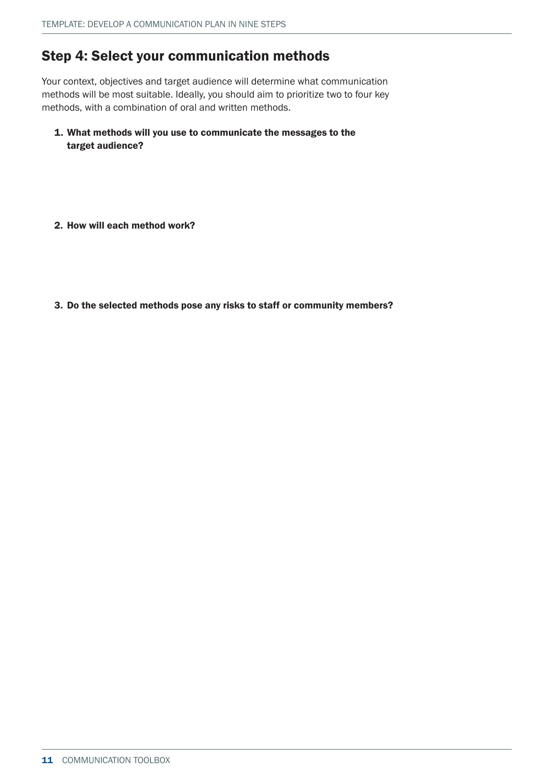# Step 4: Select your communication methods

Your context, objectives and target audience will determine what communication methods will be most suitable. Ideally, you should aim to prioritize two to four key methods, with a combination of oral and written methods.

- 1. What methods will you use to communicate the messages to the target audience?
- 2. How will each method work?
- 3. Do the selected methods pose any risks to staff or community members?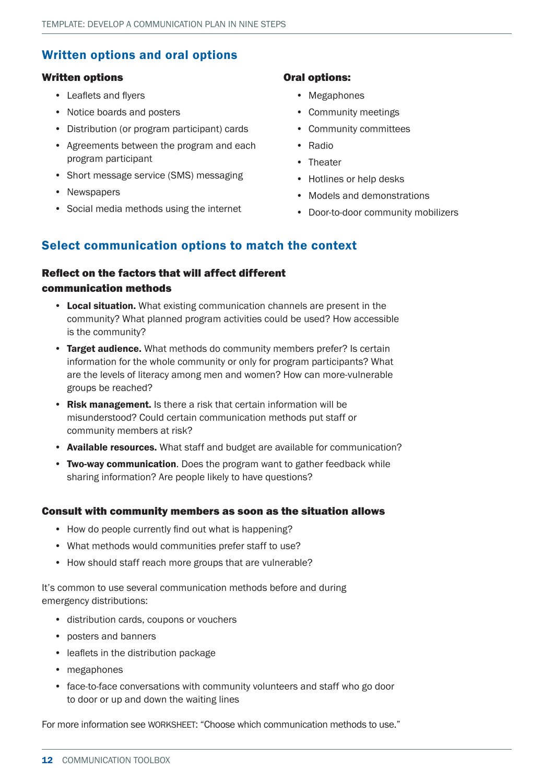## Written options and oral options

#### Written options

- Leaflets and flyers
- Notice boards and posters
- Distribution (or program participant) cards
- Agreements between the program and each program participant
- Short message service (SMS) messaging
- Newspapers
- Social media methods using the internet

#### Oral options:

- Megaphones
- Community meetings
- Community committees
- Radio
- Theater
- Hotlines or help desks
- Models and demonstrations
- Door-to-door community mobilizers

### Select communication options to match the context

### Reflect on the factors that will affect different communication methods

- Local situation. What existing communication channels are present in the community? What planned program activities could be used? How accessible is the community?
- Target audience. What methods do community members prefer? Is certain information for the whole community or only for program participants? What are the levels of literacy among men and women? How can more-vulnerable groups be reached?
- Risk management. Is there a risk that certain information will be misunderstood? Could certain communication methods put staff or community members at risk?
- Available resources. What staff and budget are available for communication?
- Two-way communication. Does the program want to gather feedback while sharing information? Are people likely to have questions?

#### Consult with community members as soon as the situation allows

- How do people currently find out what is happening?
- What methods would communities prefer staff to use?
- How should staff reach more groups that are vulnerable?

It's common to use several communication methods before and during emergency distributions:

- distribution cards, coupons or vouchers
- posters and banners
- leaflets in the distribution package
- megaphones
- face-to-face conversations with community volunteers and staff who go door to door or up and down the waiting lines

For more information see WORKSHEET: "Choose which communication methods to use."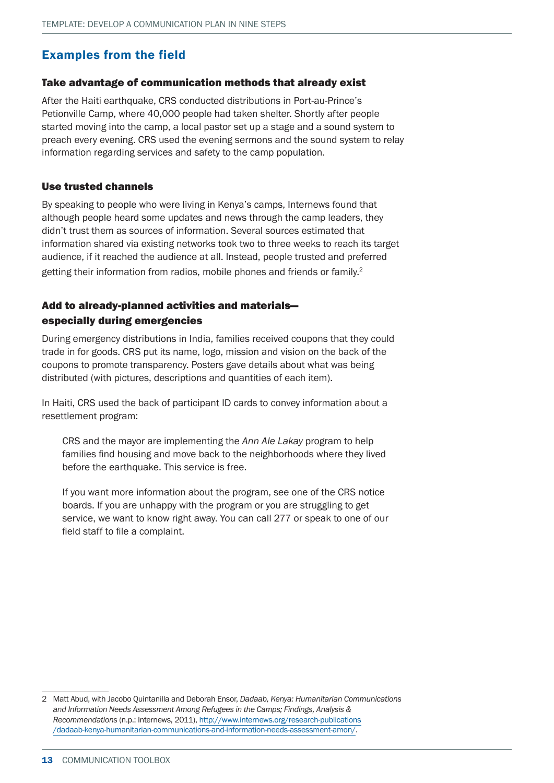### Examples from the field

#### Take advantage of communication methods that already exist

After the Haiti earthquake, CRS conducted distributions in Port-au-Prince's Petionville Camp, where 40,000 people had taken shelter. Shortly after people started moving into the camp, a local pastor set up a stage and a sound system to preach every evening. CRS used the evening sermons and the sound system to relay information regarding services and safety to the camp population.

#### Use trusted channels

By speaking to people who were living in Kenya's camps, Internews found that although people heard some updates and news through the camp leaders, they didn't trust them as sources of information. Several sources estimated that information shared via existing networks took two to three weeks to reach its target audience, if it reached the audience at all. Instead, people trusted and preferred getting their information from radios, mobile phones and friends or family.<sup>2</sup>

### Add to already-planned activities and materials especially during emergencies

During emergency distributions in India, families received coupons that they could trade in for goods. CRS put its name, logo, mission and vision on the back of the coupons to promote transparency. Posters gave details about what was being distributed (with pictures, descriptions and quantities of each item).

In Haiti, CRS used the back of participant ID cards to convey information about a resettlement program:

CRS and the mayor are implementing the *Ann Ale Lakay* program to help families find housing and move back to the neighborhoods where they lived before the earthquake. This service is free.

If you want more information about the program, see one of the CRS notice boards. If you are unhappy with the program or you are struggling to get service, we want to know right away. You can call 277 or speak to one of our field staff to file a complaint.

<sup>2</sup> Matt Abud, with Jacobo Quintanilla and Deborah Ensor, *Dadaab, Kenya: Humanitarian Communications and Information Needs Assessment Among Refugees in the Camps; Findings, Analysis & Recommendations* (n.p.: Internews, 2011), [http://www.internews.org/research-publications](http://www.internews.org/research-publications%0A/dadaab-kenya-humanitarian-communications-and-information-needs-assessment-amon/) [/dadaab-kenya-humanitarian-communications-and-information-needs-assessment-amon/](http://www.internews.org/research-publications%0A/dadaab-kenya-humanitarian-communications-and-information-needs-assessment-amon/).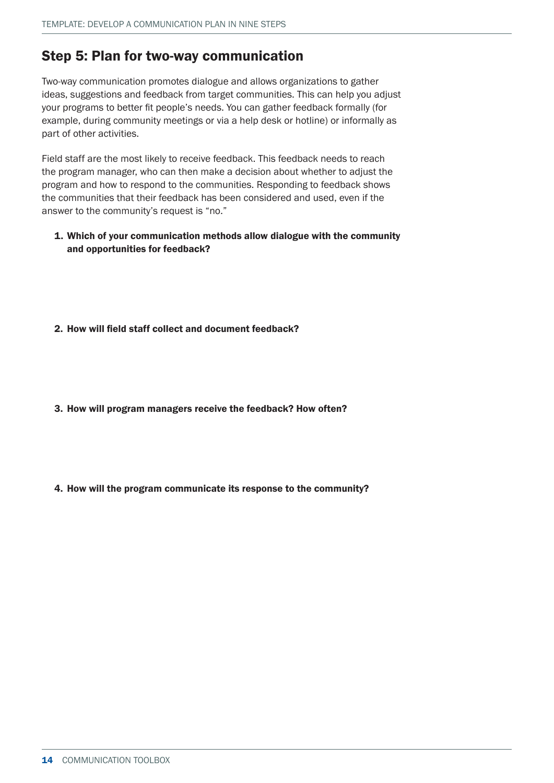## Step 5: Plan for two-way communication

Two-way communication promotes dialogue and allows organizations to gather ideas, suggestions and feedback from target communities. This can help you adjust your programs to better fit people's needs. You can gather feedback formally (for example, during community meetings or via a help desk or hotline) or informally as part of other activities.

Field staff are the most likely to receive feedback. This feedback needs to reach the program manager, who can then make a decision about whether to adjust the program and how to respond to the communities. Responding to feedback shows the communities that their feedback has been considered and used, even if the answer to the community's request is "no."

#### 1. Which of your communication methods allow dialogue with the community and opportunities for feedback?

#### 2. How will field staff collect and document feedback?

- 3. How will program managers receive the feedback? How often?
- 4. How will the program communicate its response to the community?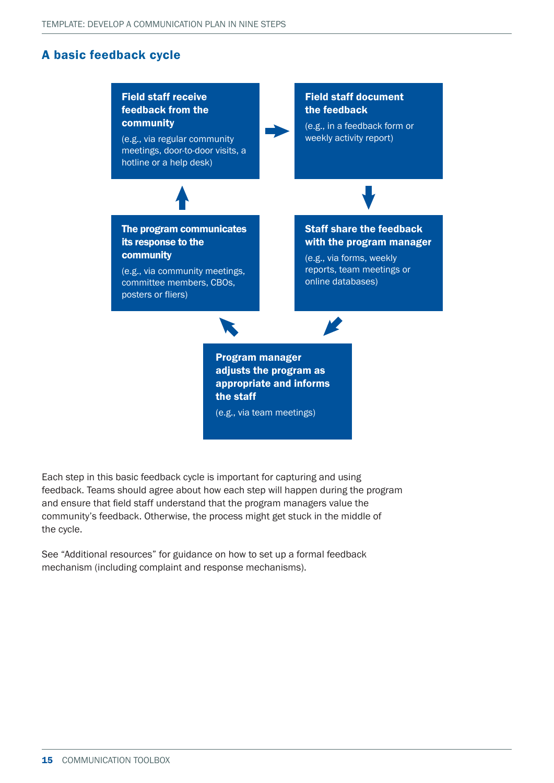### A basic feedback cycle



Each step in this basic feedback cycle is important for capturing and using feedback. Teams should agree about how each step will happen during the program and ensure that field staff understand that the program managers value the community's feedback. Otherwise, the process might get stuck in the middle of the cycle.

See "Additional resources" for guidance on how to set up a formal feedback mechanism (including complaint and response mechanisms).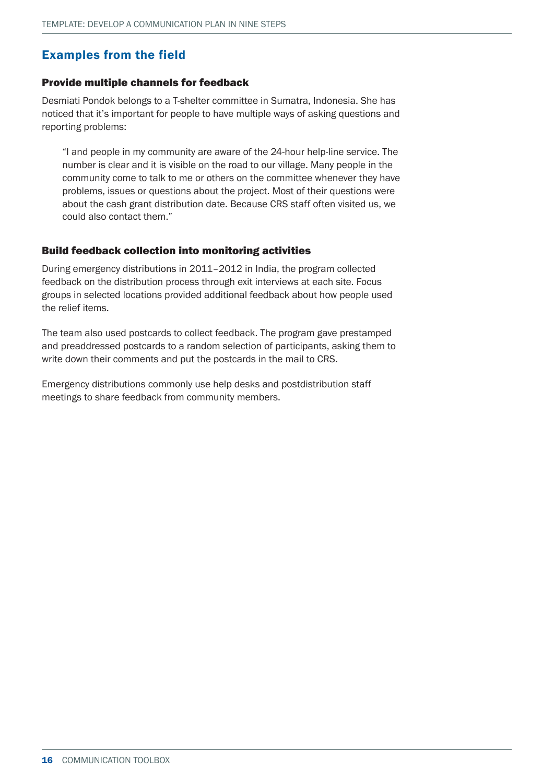## Examples from the field

#### Provide multiple channels for feedback

Desmiati Pondok belongs to a T-shelter committee in Sumatra, Indonesia. She has noticed that it's important for people to have multiple ways of asking questions and reporting problems:

"I and people in my community are aware of the 24-hour help-line service. The number is clear and it is visible on the road to our village. Many people in the community come to talk to me or others on the committee whenever they have problems, issues or questions about the project. Most of their questions were about the cash grant distribution date. Because CRS staff often visited us, we could also contact them."

#### Build feedback collection into monitoring activities

During emergency distributions in 2011–2012 in India, the program collected feedback on the distribution process through exit interviews at each site. Focus groups in selected locations provided additional feedback about how people used the relief items.

The team also used postcards to collect feedback. The program gave prestamped and preaddressed postcards to a random selection of participants, asking them to write down their comments and put the postcards in the mail to CRS.

Emergency distributions commonly use help desks and postdistribution staff meetings to share feedback from community members.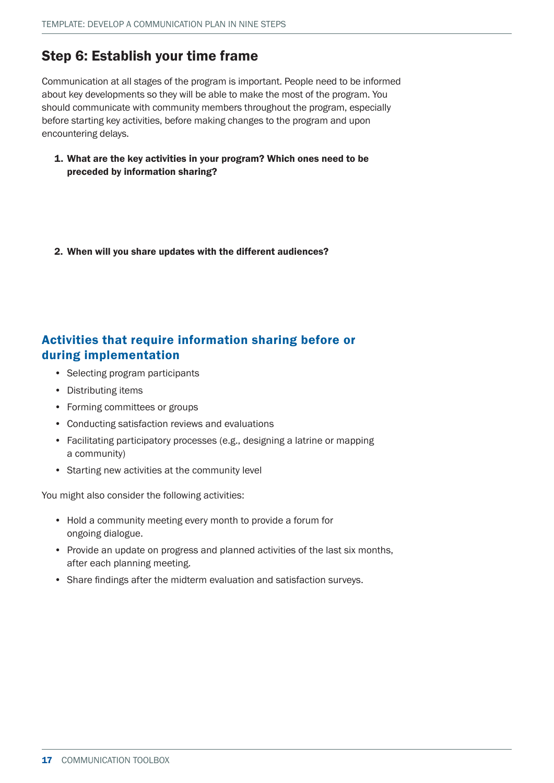# Step 6: Establish your time frame

Communication at all stages of the program is important. People need to be informed about key developments so they will be able to make the most of the program. You should communicate with community members throughout the program, especially before starting key activities, before making changes to the program and upon encountering delays.

1. What are the key activities in your program? Which ones need to be preceded by information sharing?

2. When will you share updates with the different audiences?

## Activities that require information sharing before or during implementation

- Selecting program participants
- Distributing items
- Forming committees or groups
- Conducting satisfaction reviews and evaluations
- Facilitating participatory processes (e.g., designing a latrine or mapping a community)
- Starting new activities at the community level

You might also consider the following activities:

- Hold a community meeting every month to provide a forum for ongoing dialogue.
- Provide an update on progress and planned activities of the last six months, after each planning meeting.
- Share findings after the midterm evaluation and satisfaction surveys.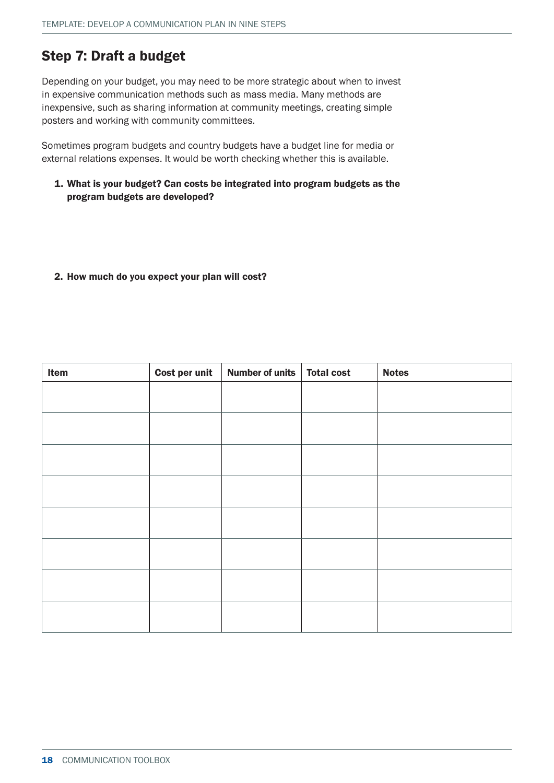# Step 7: Draft a budget

Depending on your budget, you may need to be more strategic about when to invest in expensive communication methods such as mass media. Many methods are inexpensive, such as sharing information at community meetings, creating simple posters and working with community committees.

Sometimes program budgets and country budgets have a budget line for media or external relations expenses. It would be worth checking whether this is available.

1. What is your budget? Can costs be integrated into program budgets as the program budgets are developed?

#### 2. How much do you expect your plan will cost?

| Item | Cost per unit | Number of units   Total cost | <b>Notes</b> |
|------|---------------|------------------------------|--------------|
|      |               |                              |              |
|      |               |                              |              |
|      |               |                              |              |
|      |               |                              |              |
|      |               |                              |              |
|      |               |                              |              |
|      |               |                              |              |
|      |               |                              |              |
|      |               |                              |              |
|      |               |                              |              |
|      |               |                              |              |
|      |               |                              |              |
|      |               |                              |              |
|      |               |                              |              |
|      |               |                              |              |
|      |               |                              |              |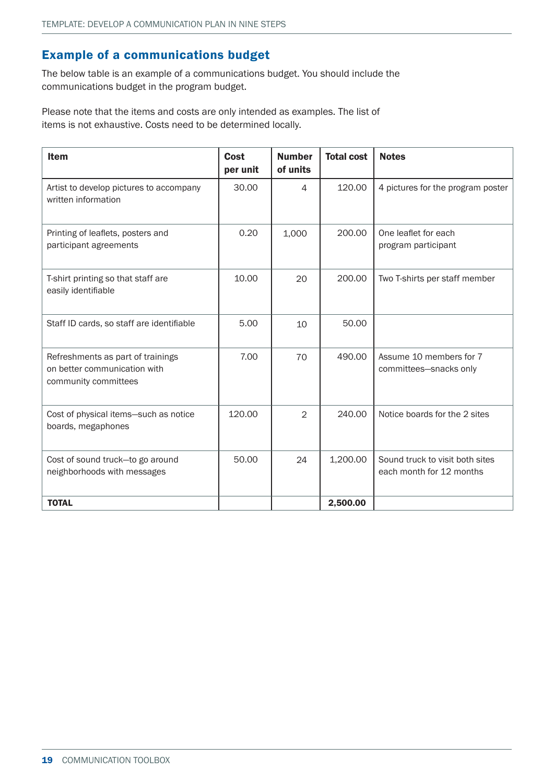### Example of a communications budget

The below table is an example of a communications budget. You should include the communications budget in the program budget.

Please note that the items and costs are only intended as examples. The list of items is not exhaustive. Costs need to be determined locally.

| <b>Item</b>                                                                               | Cost<br>per unit | <b>Number</b><br>of units | <b>Total cost</b> | <b>Notes</b>                                                |
|-------------------------------------------------------------------------------------------|------------------|---------------------------|-------------------|-------------------------------------------------------------|
| Artist to develop pictures to accompany<br>written information                            | 30.00            | 4                         | 120.00            | 4 pictures for the program poster                           |
| Printing of leaflets, posters and<br>participant agreements                               | 0.20             | 1,000                     | 200.00            | One leaflet for each<br>program participant                 |
| T-shirt printing so that staff are<br>easily identifiable                                 | 10.00            | 20                        | 200.00            | Two T-shirts per staff member                               |
| Staff ID cards, so staff are identifiable                                                 | 5.00             | 10                        | 50.00             |                                                             |
| Refreshments as part of trainings<br>on better communication with<br>community committees | 7.00             | 70                        | 490.00            | Assume 10 members for 7<br>committees-snacks only           |
| Cost of physical items-such as notice<br>boards, megaphones                               | 120.00           | 2                         | 240.00            | Notice boards for the 2 sites                               |
| Cost of sound truck-to go around<br>neighborhoods with messages                           | 50.00            | 24                        | 1,200.00          | Sound truck to visit both sites<br>each month for 12 months |
| <b>TOTAL</b>                                                                              |                  |                           | 2,500.00          |                                                             |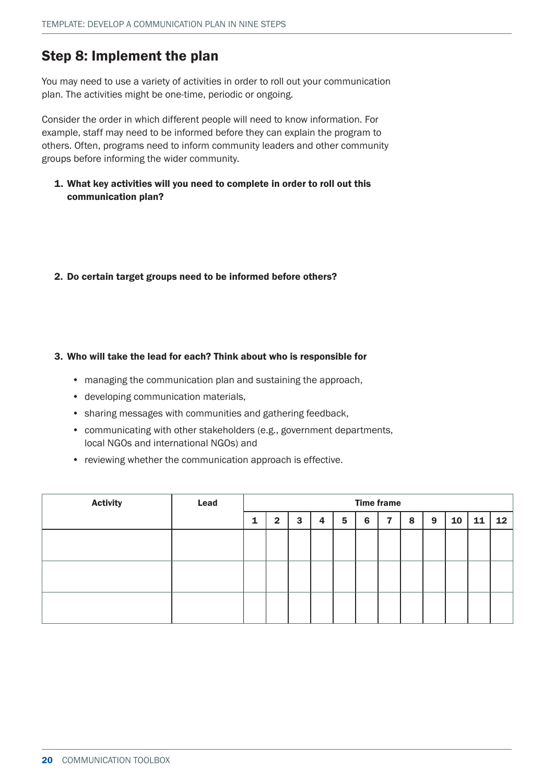## Step 8: Implement the plan

You may need to use a variety of activities in order to roll out your communication plan. The activities might be one-time, periodic or ongoing.

Consider the order in which different people will need to know information. For example, staff may need to be informed before they can explain the program to others. Often, programs need to inform community leaders and other community groups before informing the wider community.

1. What key activities will you need to complete in order to roll out this communication plan?

#### 2. Do certain target groups need to be informed before others?

#### 3. Who will take the lead for each? Think about who is responsible for

- managing the communication plan and sustaining the approach,
- developing communication materials,
- sharing messages with communities and gathering feedback,
- communicating with other stakeholders (e.g., government departments, local NGOs and international NGOs) and
- reviewing whether the communication approach is effective.

| <b>Activity</b> | Lead | <b>Time frame</b> |              |   |                |                 |   |   |   |   |    |    |                 |
|-----------------|------|-------------------|--------------|---|----------------|-----------------|---|---|---|---|----|----|-----------------|
|                 |      |                   | $\mathbf{2}$ | 3 | $\overline{4}$ | $5\phantom{.0}$ | 6 | 7 | 8 | 9 | 10 | 11 | 12 <sub>2</sub> |
|                 |      |                   |              |   |                |                 |   |   |   |   |    |    |                 |
|                 |      |                   |              |   |                |                 |   |   |   |   |    |    |                 |
|                 |      |                   |              |   |                |                 |   |   |   |   |    |    |                 |
|                 |      |                   |              |   |                |                 |   |   |   |   |    |    |                 |
|                 |      |                   |              |   |                |                 |   |   |   |   |    |    |                 |
|                 |      |                   |              |   |                |                 |   |   |   |   |    |    |                 |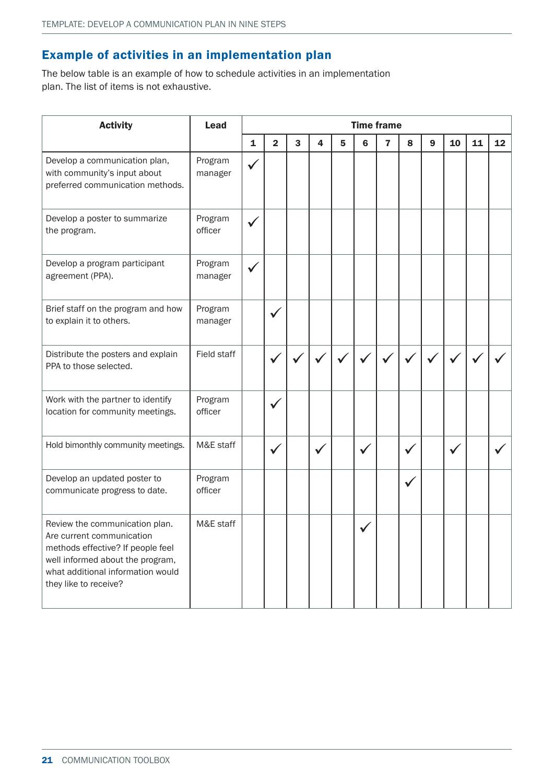### Example of activities in an implementation plan

The below table is an example of how to schedule activities in an implementation plan. The list of items is not exhaustive.

| <b>Activity</b>                                                                                                                                                                                    | <b>Lead</b>        | <b>Time frame</b> |                         |   |              |                |                |                         |   |                  |    |    |    |
|----------------------------------------------------------------------------------------------------------------------------------------------------------------------------------------------------|--------------------|-------------------|-------------------------|---|--------------|----------------|----------------|-------------------------|---|------------------|----|----|----|
|                                                                                                                                                                                                    |                    | $\mathbf{1}$      | $\overline{\mathbf{2}}$ | 3 | 4            | $5\phantom{1}$ | $6\phantom{1}$ | $\overline{\mathbf{r}}$ | 8 | $\boldsymbol{9}$ | 10 | 11 | 12 |
| Develop a communication plan,<br>with community's input about<br>preferred communication methods.                                                                                                  | Program<br>manager | ✔                 |                         |   |              |                |                |                         |   |                  |    |    |    |
| Develop a poster to summarize<br>the program.                                                                                                                                                      | Program<br>officer |                   |                         |   |              |                |                |                         |   |                  |    |    |    |
| Develop a program participant<br>agreement (PPA).                                                                                                                                                  | Program<br>manager | ✓                 |                         |   |              |                |                |                         |   |                  |    |    |    |
| Brief staff on the program and how<br>to explain it to others.                                                                                                                                     | Program<br>manager |                   |                         |   |              |                |                |                         |   |                  |    |    |    |
| Distribute the posters and explain<br>PPA to those selected.                                                                                                                                       | Field staff        |                   |                         |   |              |                |                |                         |   |                  |    |    |    |
| Work with the partner to identify<br>location for community meetings.                                                                                                                              | Program<br>officer |                   |                         |   |              |                |                |                         |   |                  |    |    |    |
| Hold bimonthly community meetings.                                                                                                                                                                 | M&E staff          |                   |                         |   | $\checkmark$ |                |                |                         | ✔ |                  |    |    |    |
| Develop an updated poster to<br>communicate progress to date.                                                                                                                                      | Program<br>officer |                   |                         |   |              |                |                |                         |   |                  |    |    |    |
| Review the communication plan.<br>Are current communication<br>methods effective? If people feel<br>well informed about the program,<br>what additional information would<br>they like to receive? | M&E staff          |                   |                         |   |              |                |                |                         |   |                  |    |    |    |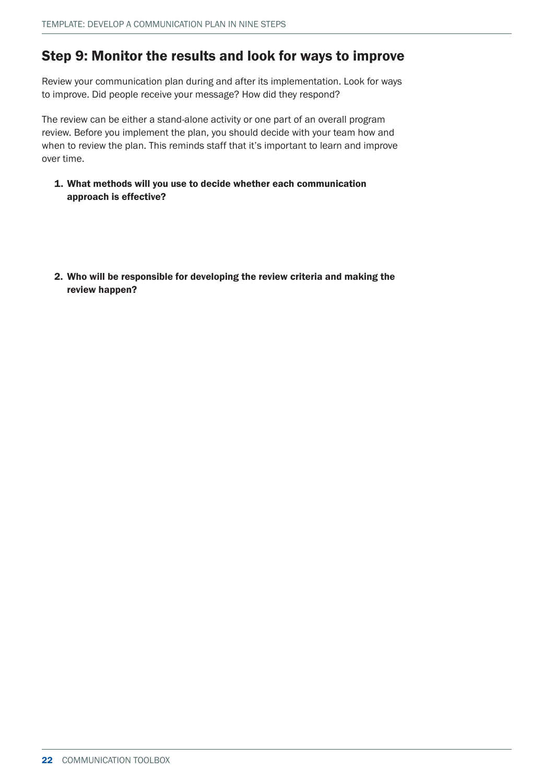## Step 9: Monitor the results and look for ways to improve

Review your communication plan during and after its implementation. Look for ways to improve. Did people receive your message? How did they respond?

The review can be either a stand-alone activity or one part of an overall program review. Before you implement the plan, you should decide with your team how and when to review the plan. This reminds staff that it's important to learn and improve over time.

- 1. What methods will you use to decide whether each communication approach is effective?
- 2. Who will be responsible for developing the review criteria and making the review happen?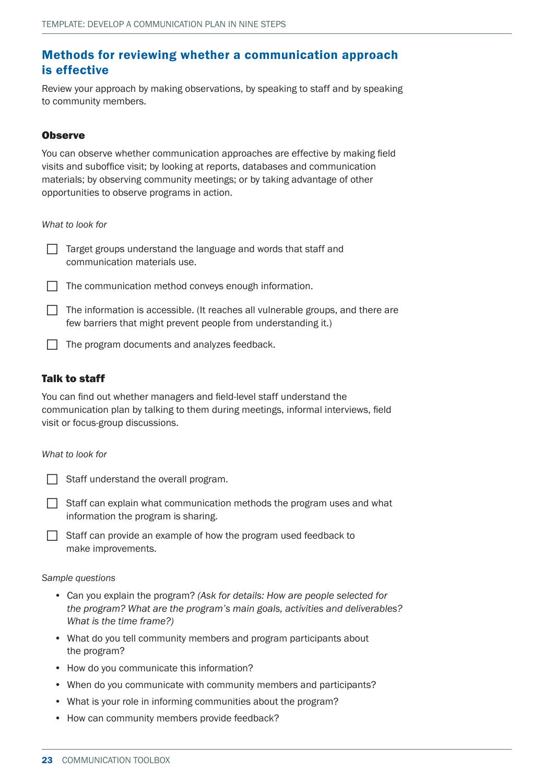### Methods for reviewing whether a communication approach is effective

Review your approach by making observations, by speaking to staff and by speaking to community members.

#### **Observe**

You can observe whether communication approaches are effective by making field visits and suboffice visit; by looking at reports, databases and communication materials; by observing community meetings; or by taking advantage of other opportunities to observe programs in action.

*What to look for*

 $\Box$  Target groups understand the language and words that staff and communication materials use.



 $\Box$  The information is accessible. (It reaches all vulnerable groups, and there are few barriers that might prevent people from understanding it.)

 $\Box$  The program documents and analyzes feedback.

### Talk to staff

You can find out whether managers and field-level staff understand the communication plan by talking to them during meetings, informal interviews, field visit or focus-group discussions.

#### *What to look for*

| Staff understand the overall program. |  |
|---------------------------------------|--|
|                                       |  |

- $\Box$  Staff can explain what communication methods the program uses and what information the program is sharing.
- $\Box$  Staff can provide an example of how the program used feedback to make improvements.

#### *Sample questions*

- Can you explain the program? *(Ask for details: How are people selected for the program? What are the program's main goals, activities and deliverables? What is the time frame?)*
- What do you tell community members and program participants about the program?
- How do you communicate this information?
- When do you communicate with community members and participants?
- What is your role in informing communities about the program?
- How can community members provide feedback?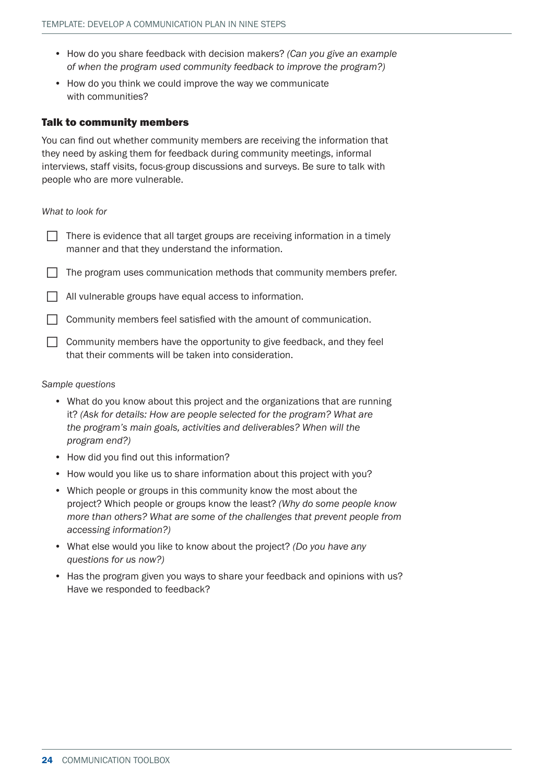- How do you share feedback with decision makers? *(Can you give an example of when the program used community feedback to improve the program?)*
- How do you think we could improve the way we communicate with communities?

#### Talk to community members

You can find out whether community members are receiving the information that they need by asking them for feedback during community meetings, informal interviews, staff visits, focus-group discussions and surveys. Be sure to talk with people who are more vulnerable.

#### *What to look for*

| $\Box$ There is evidence that all target groups are receiving information in a timely |
|---------------------------------------------------------------------------------------|
| manner and that they understand the information.                                      |

| $\Box$ The program uses communication methods that community members prefer. |  |  |
|------------------------------------------------------------------------------|--|--|
|                                                                              |  |  |

 $\Box$  All vulnerable groups have equal access to information.

 $\Box$  Community members feel satisfied with the amount of communication.

 $\Box$  Community members have the opportunity to give feedback, and they feel that their comments will be taken into consideration.

#### *Sample questions*

- What do you know about this project and the organizations that are running it? *(Ask for details: How are people selected for the program? What are the program's main goals, activities and deliverables? When will the program end?)*
- How did you find out this information?
- How would you like us to share information about this project with you?
- Which people or groups in this community know the most about the project? Which people or groups know the least? *(Why do some people know more than others? What are some of the challenges that prevent people from accessing information?)*
- What else would you like to know about the project? *(Do you have any questions for us now?)*
- Has the program given you ways to share your feedback and opinions with us? Have we responded to feedback?